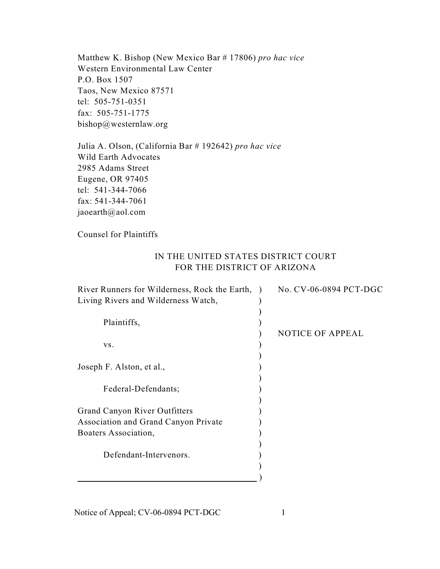Matthew K. Bishop (New Mexico Bar # 17806) *pro hac vice*  Western Environmental Law Center P.O. Box 1507 Taos, New Mexico 87571 tel: 505-751-0351 fax: 505-751-1775 bishop@westernlaw.org

Julia A. Olson, (California Bar # 192642) *pro hac vice*  Wild Earth Advocates 2985 Adams Street Eugene, OR 97405 tel: 541-344-7066 fax: 541-344-7061 jaoearth@aol.com

Counsel for Plaintiffs

## IN THE UNITED STATES DISTRICT COURT FOR THE DISTRICT OF ARIZONA

| River Runners for Wilderness, Rock the Earth, ) | No. CV-06-0894 PCT-DGC  |
|-------------------------------------------------|-------------------------|
| Living Rivers and Wilderness Watch,             |                         |
|                                                 |                         |
| Plaintiffs,                                     |                         |
|                                                 | <b>NOTICE OF APPEAL</b> |
| VS.                                             |                         |
|                                                 |                         |
| Joseph F. Alston, et al.,                       |                         |
|                                                 |                         |
| Federal-Defendants;                             |                         |
|                                                 |                         |
| <b>Grand Canyon River Outfitters</b>            |                         |
| Association and Grand Canyon Private            |                         |
| Boaters Association,                            |                         |
|                                                 |                         |
| Defendant-Intervenors.                          |                         |
|                                                 |                         |
|                                                 |                         |

Notice of Appeal; CV-06-0894 PCT-DGC 1